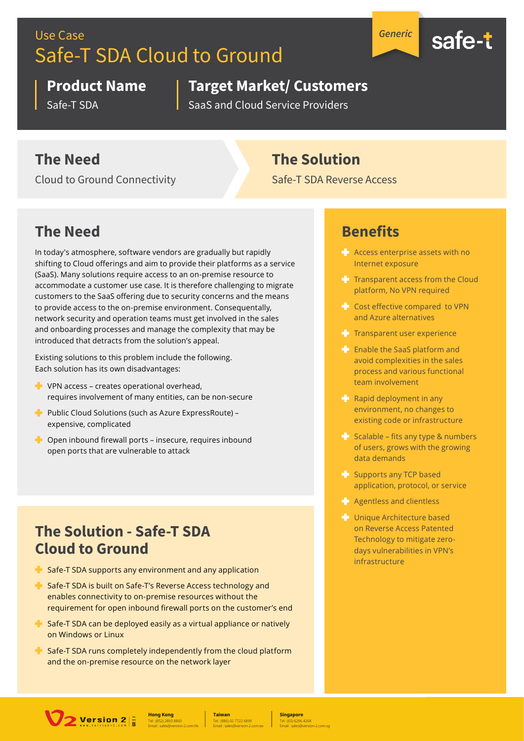# Use Case Safe-T SDA Cloud to Ground

*Generic*



#### **Product Name**

Safe-T SDA

# **Target Market/ Customers**

SaaS and Cloud Service Providers

## **The Need**

Cloud to Ground Connectivity

### **The Solution**

Safe-T SDA Reverse Access

# **The Need**

In today's atmosphere, software vendors are gradually but rapidly shifting to Cloud offerings and aim to provide their platforms as a service (SaaS). Many solutions require access to an on-premise resource to accommodate a customer use case. It is therefore challenging to migrate customers to the SaaS offering due to security concerns and the means to provide access to the on-premise environment. Consequentally, network security and operation teams must get involved in the sales and onboarding processes and manage the complexity that may be introduced that detracts from the solution's appeal.

Existing solutions to this problem include the following. Each solution has its own disadvantages:

- $\blacksquare$  VPN access creates operational overhead. requires involvement of many entities, can be non-secure
- Public Cloud Solutions (such as Azure ExpressRoute) expensive, complicated
- $\blacksquare$  Open inbound firewall ports insecure, requires inbound open ports that are vulnerable to attack

#### **The Solution - Safe-T SDA Cloud to Ground**

- $\blacksquare$  Safe-T SDA supports any environment and any application
- $\blacksquare$  Safe-T SDA is built on Safe-T's Reverse Access technology and enables connectivity to on-premise resources without the requirement for open inbound firewall ports on the customer's end
- $\blacktriangle$  Safe-T SDA can be deployed easily as a virtual appliance or natively on Windows or Linux
- $\blacksquare$  Safe-T SDA runs completely independently from the cloud platform and the on-premise resource on the network layer

### **Benefits**

- **Access enterprise assets with no** Internet exposure
- $T$  Transparent access from the Cloud platform, No VPN required
- $\blacktriangle$  Cost effective compared to VPN and Azure alternatives
- $T$  Transparent user experience
- **Enable the SaaS platform and** avoid complexities in the sales process and various functional team involvement
- $\blacktriangle$  Rapid deployment in any environment, no changes to existing code or infrastructure
- $\blacktriangle$  Scalable fits any type & numbers of users, grows with the growing data demands
- Supports any TCP based application, protocol, or service
- $\blacksquare$  Agentless and clientless
- **Unique Architecture based** on Reverse Access Patented Technology to mitigate zerodays vulnerabilities in VPN's infrastructure



Tel : (852) 2893 8860 **Hong Kong** Email : sales@version-2.com.hk

Tel : (886) 02 7722 6899 **Taiwan** Email : sales@version-2.com.tw

Tel : (65) 6296 4268 **Singapore** Email : sales@version-2.com.sg